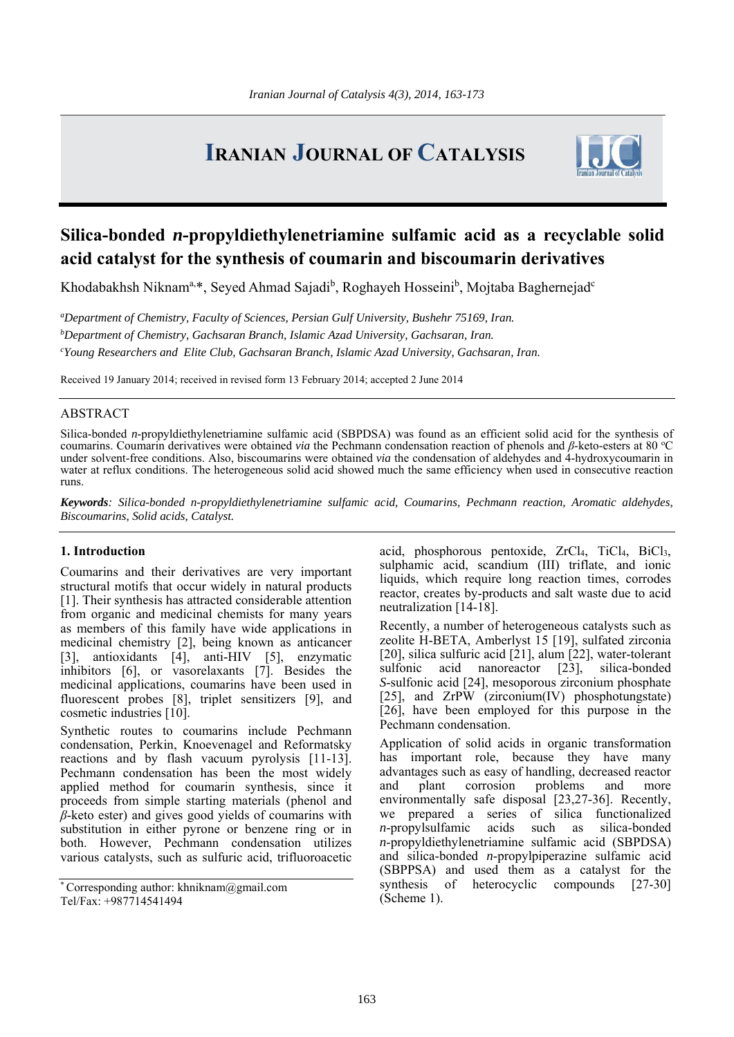# **IRANIAN JOURNAL OF CATALYSIS**



# **Silica-bonded** *n***-propyldiethylenetriamine sulfamic acid as a recyclable solid acid catalyst for the synthesis of coumarin and biscoumarin derivatives**

Khodabakhsh Niknam<sup>a,\*</sup>, Seyed Ahmad Sajadi<sup>b</sup>, Roghayeh Hosseini<sup>b</sup>, Mojtaba Baghernejad<sup>e</sup>

*a Department of Chemistry, Faculty of Sciences, Persian Gulf University, Bushehr 75169, Iran. b Department of Chemistry, Gachsaran Branch, Islamic Azad University, Gachsaran, Iran. c Young Researchers and Elite Club, Gachsaran Branch, Islamic Azad University, Gachsaran, Iran.* 

Received 19 January 2014; received in revised form 13 February 2014; accepted 2 June 2014

# ABSTRACT

Silica-bonded *n*-propyldiethylenetriamine sulfamic acid (SBPDSA) was found as an efficient solid acid for the synthesis of coumarins. Coumarin derivatives were obtained *via* the Pechmann condensation reaction of phenols and *β*-keto-esters at 80 °C under solvent-free conditions. Also, biscoumarins were obtained *via* the condensation of aldehydes and 4-hydroxycoumarin in water at reflux conditions. The heterogeneous solid acid showed much the same efficiency when used in consecutive reaction runs.

*Keywords: Silica-bonded n-propyldiethylenetriamine sulfamic acid, Coumarins, Pechmann reaction, Aromatic aldehydes, Biscoumarins, Solid acids, Catalyst.*

# **1. Introduction**

Coumarins and their derivatives are very important structural motifs that occur widely in natural products [1]. Their synthesis has attracted considerable attention from organic and medicinal chemists for many years as members of this family have wide applications in medicinal chemistry [2], being known as anticancer [3], antioxidants [4], anti-HIV [5], enzymatic inhibitors [6], or vasorelaxants [7]. Besides the medicinal applications, coumarins have been used in fluorescent probes [8], triplet sensitizers [9], and cosmetic industries [10].

Synthetic routes to coumarins include Pechmann condensation, Perkin, Knoevenagel and Reformatsky reactions and by flash vacuum pyrolysis [11-13]. Pechmann condensation has been the most widely applied method for coumarin synthesis, since it proceeds from simple starting materials (phenol and *β*-keto ester) and gives good yields of coumarins with substitution in either pyrone or benzene ring or in both. However, Pechmann condensation utilizes various catalysts, such as sulfuric acid, trifluoroacetic

\* Corresponding author: khniknam@gmail.com Tel/Fax: +987714541494

acid, phosphorous pentoxide, ZrCl<sub>4</sub>, TiCl<sub>4</sub>, BiCl<sub>3</sub>, sulphamic acid, scandium (III) triflate, and ionic liquids, which require long reaction times, corrodes reactor, creates by-products and salt waste due to acid neutralization [14-18].

Recently, a number of heterogeneous catalysts such as zeolite H-BETA, Amberlyst 15 [19], sulfated zirconia [20], silica sulfuric acid  $[21]$ , alum  $[22]$ , water-tolerant sulfonic acid nanoreactor [23], silica-bonded *S*-sulfonic acid [24], mesoporous zirconium phosphate [25], and ZrPW (zirconium(IV) phosphotungstate) [26], have been employed for this purpose in the Pechmann condensation.

Application of solid acids in organic transformation has important role, because they have many advantages such as easy of handling, decreased reactor and plant corrosion problems and more environmentally safe disposal [23,27-36]. Recently, we prepared a series of silica functionalized *n*-propylsulfamic acids such as silica-bonded *n*-propyldiethylenetriamine sulfamic acid (SBPDSA) and silica-bonded *n*-propylpiperazine sulfamic acid (SBPPSA) and used them as a catalyst for the synthesis of heterocyclic compounds [27-30] (Scheme 1).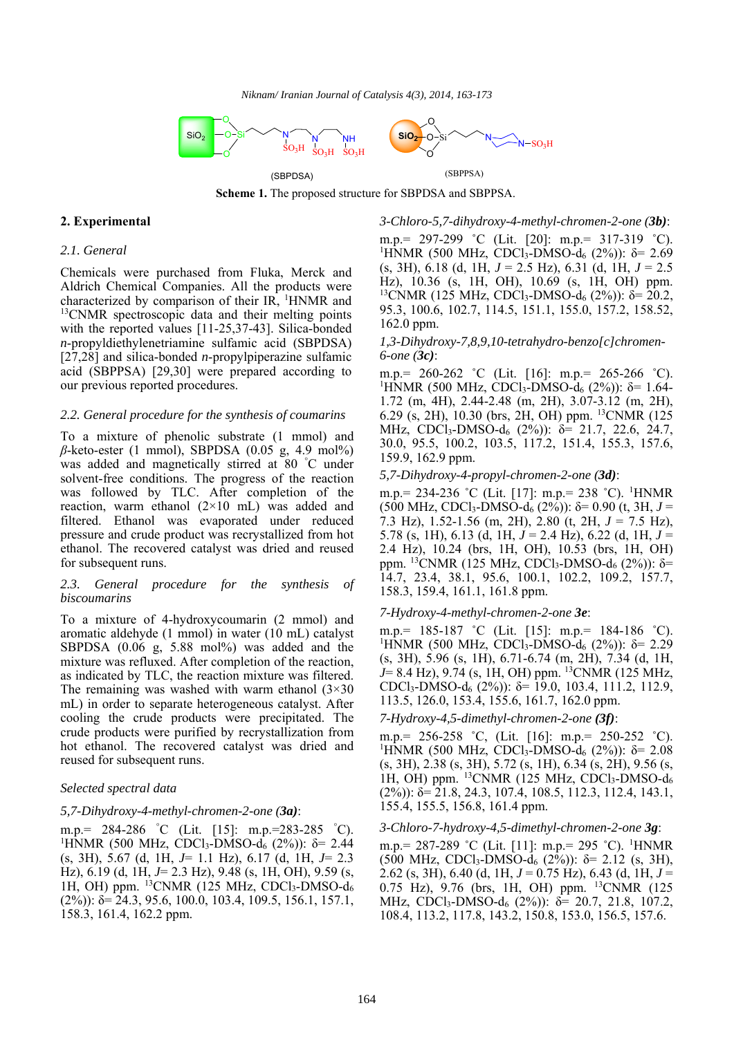

**Scheme 1.** The proposed structure for SBPDSA and SBPPSA.

# **2. Experimental**

#### *2.1. General*

Chemicals were purchased from Fluka, Merck and Aldrich Chemical Companies. All the products were characterized by comparison of their  $IR$ , <sup>1</sup>HNMR and <sup>13</sup>CNMR spectroscopic data and their melting points with the reported values [11-25,37-43]. Silica-bonded *n*-propyldiethylenetriamine sulfamic acid (SBPDSA) [27,28] and silica-bonded *n*-propylpiperazine sulfamic acid (SBPPSA) [29,30] were prepared according to our previous reported procedures.

#### *2.2. General procedure for the synthesis of coumarins*

To a mixture of phenolic substrate (1 mmol) and *β*-keto-ester (1 mmol), SBPDSA (0.05 g, 4.9 mol%) was added and magnetically stirred at 80 ° C under solvent-free conditions. The progress of the reaction was followed by TLC. After completion of the reaction, warm ethanol (2×10 mL) was added and filtered. Ethanol was evaporated under reduced pressure and crude product was recrystallized from hot ethanol. The recovered catalyst was dried and reused for subsequent runs.

#### *2.3. General procedure for the synthesis of biscoumarins*

To a mixture of 4-hydroxycoumarin (2 mmol) and aromatic aldehyde (1 mmol) in water (10 mL) catalyst SBPDSA (0.06 g, 5.88 mol%) was added and the mixture was refluxed. After completion of the reaction, as indicated by TLC, the reaction mixture was filtered. The remaining was washed with warm ethanol  $(3\times30)$ mL) in order to separate heterogeneous catalyst. After cooling the crude products were precipitated. The crude products were purified by recrystallization from hot ethanol. The recovered catalyst was dried and reused for subsequent runs.

#### *Selected spectral data*

#### *5,7-Dihydroxy-4-methyl-chromen-2-one (3a)*:

m.p.= 284-286 ° C (Lit. [15]: m.p.=283-285 ° C). <sup>1</sup>HNMR (500 MHz, CDCl<sub>3</sub>-DMSO- $d_6$  (2%)): δ= 2.44 (s, 3H), 5.67 (d, 1H, *J*= 1.1 Hz), 6.17 (d, 1H, *J*= 2.3 Hz), 6.19 (d, 1H, *J*= 2.3 Hz), 9.48 (s, 1H, OH), 9.59 (s, 1H, OH) ppm. 13CNMR (125 MHz, CDCl3-DMSO-d6  $(2\%)$ :  $\delta$  = 24.3, 95.6, 100.0, 103.4, 109.5, 156.1, 157.1, 158.3, 161.4, 162.2 ppm.

*3-Chloro-5,7-dihydroxy-4-methyl-chromen-2-one (3b)*:

m.p.= 297-299 ˚C (Lit. [20]: m.p.= 317-319 ˚C). <sup>1</sup>HNMR (500 MHz, CDCl<sub>3</sub>-DMSO-d<sub>6</sub> (2%)): δ= 2.69 (s, 3H), 6.18 (d, 1H, *J* = 2.5 Hz), 6.31 (d, 1H, *J* = 2.5 Hz), 10.36 (s, 1H, OH), 10.69 (s, 1H, OH) ppm. <sup>13</sup>CNMR (125 MHz, CDCl<sub>3</sub>-DMSO-d<sub>6</sub> (2%)): δ= 20.2, 95.3, 100.6, 102.7, 114.5, 151.1, 155.0, 157.2, 158.52, 162.0 ppm.

## *1,3-Dihydroxy-7,8,9,10-tetrahydro-benzo[c]chromen-6-one (3c)*:

m.p.= 260-262 ˚C (Lit. [16]: m.p.= 265-266 ˚C). <sup>1</sup>HNMR (500 MHz, CDCl<sub>3</sub>-DMSO-d<sub>6</sub> (2%)): δ= 1.64-1.72 (m, 4H), 2.44-2.48 (m, 2H), 3.07-3.12 (m, 2H), 6.29 (s, 2H), 10.30 (brs, 2H, OH) ppm. 13CNMR (125 MHz, CDCl3-DMSO-d6 (2%)): δ= 21.7, 22.6, 24.7, 30.0, 95.5, 100.2, 103.5, 117.2, 151.4, 155.3, 157.6, 159.9, 162.9 ppm.

### *5,7-Dihydroxy-4-propyl-chromen-2-one (3d)*:

m.p.= 234-236 ˚C (Lit. [17]: m.p.= 238 ˚C). 1 HNMR (500 MHz, CDCl3-DMSO-d6 (2%)): δ= 0.90 (t, 3H, *J* = 7.3 Hz), 1.52-1.56 (m, 2H), 2.80 (t, 2H, *J* = 7.5 Hz), 5.78 (s, 1H), 6.13 (d, 1H, *J* = 2.4 Hz), 6.22 (d, 1H, *J* = 2.4 Hz), 10.24 (brs, 1H, OH), 10.53 (brs, 1H, OH) ppm. <sup>13</sup>CNMR (125 MHz, CDCl<sub>3</sub>-DMSO-d<sub>6</sub> (2%)): δ= 14.7, 23.4, 38.1, 95.6, 100.1, 102.2, 109.2, 157.7, 158.3, 159.4, 161.1, 161.8 ppm.

#### *7-Hydroxy-4-methyl-chromen-2-one 3e*:

m.p.= 185-187 ˚C (Lit. [15]: m.p.= 184-186 ˚C). <sup>1</sup>HNMR (500 MHz, CDCl<sub>3</sub>-DMSO-d<sub>6</sub> (2%)): δ= 2.29 (s, 3H), 5.96 (s, 1H), 6.71-6.74 (m, 2H), 7.34 (d, 1H, *J*= 8.4 Hz), 9.74 (s, 1H, OH) ppm. <sup>13</sup>CNMR (125 MHz, CDCl<sub>3</sub>-DMSO-d<sub>6</sub> (2%)): δ= 19.0, 103.4, 111.2, 112.9, 113.5, 126.0, 153.4, 155.6, 161.7, 162.0 ppm.

*7-Hydroxy-4,5-dimethyl-chromen-2-one (3f)*:

m.p.= 256-258 ˚C, (Lit. [16]: m.p.= 250-252 ˚C). <sup>1</sup>HNMR (500 MHz, CDCl<sub>3</sub>-DMSO-d<sub>6</sub> (2%)): δ= 2.08 (s, 3H), 2.38 (s, 3H), 5.72 (s, 1H), 6.34 (s, 2H), 9.56 (s, 1H, OH) ppm.  $^{13}$ CNMR (125 MHz, CDCl<sub>3</sub>-DMSO-d<sub>6</sub>  $(2\%)$ :  $\delta = 21.8$ , 24.3, 107.4, 108.5, 112.3, 112.4, 143.1, 155.4, 155.5, 156.8, 161.4 ppm.

### *3-Chloro-7-hydroxy-4,5-dimethyl-chromen-2-one 3g*:

m.p. = 287-289 °C (Lit. [11]: m.p. = 295 °C). <sup>1</sup>HNMR  $(500 \text{ MHz}, \text{CDCl}_3\text{-} \text{DMSO-d}_6 (2\%))$ : δ= 2.12 (s, 3H), 2.62 (s, 3H), 6.40 (d, 1H, *J* = 0.75 Hz), 6.43 (d, 1H, *J* = 0.75 Hz), 9.76 (brs, 1H, OH) ppm. 13CNMR (125 MHz, CDCl<sub>3</sub>-DMSO-d<sub>6</sub> (2%)):  $\delta$  = 20.7, 21.8, 107.2, 108.4, 113.2, 117.8, 143.2, 150.8, 153.0, 156.5, 157.6.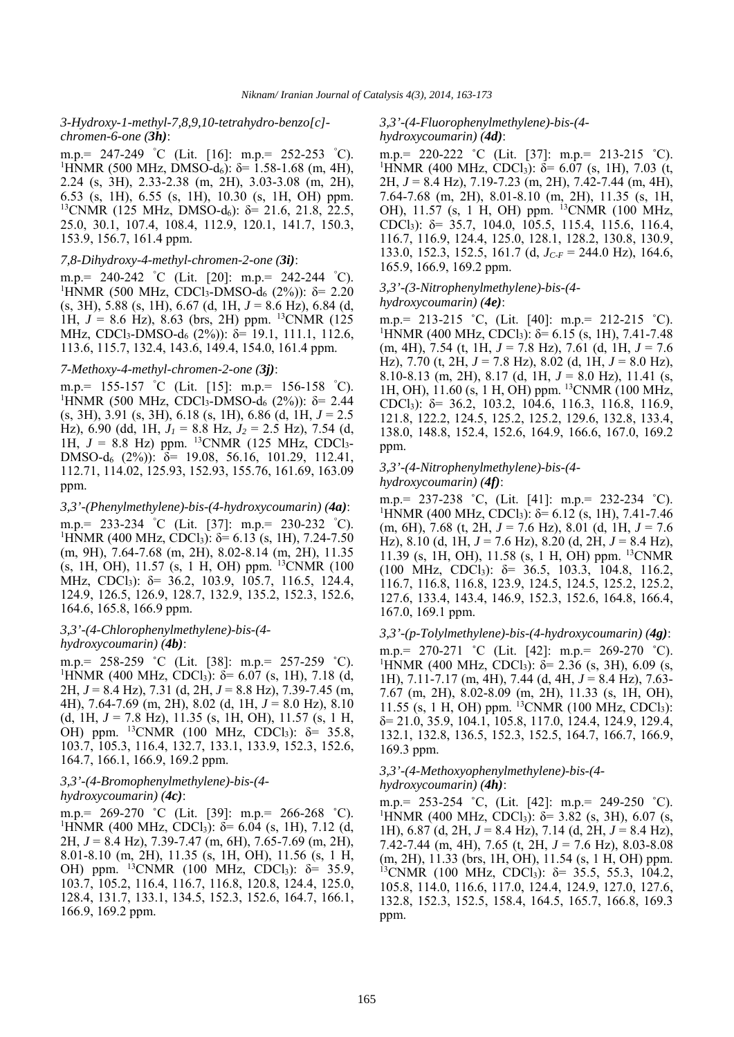#### *3-Hydroxy-1-methyl-7,8,9,10-tetrahydro-benzo[c] chromen-6-one (3h)*:

m.p.= 247-249 ° C (Lit. [16]: m.p.= 252-253 ° C). <sup>1</sup>HNMR (500 MHz, DMSO-d<sub>6</sub>): δ= 1.58-1.68 (m, 4H), 2.24 (s, 3H), 2.33-2.38 (m, 2H), 3.03-3.08 (m, 2H), 6.53 (s, 1H), 6.55 (s, 1H), 10.30 (s, 1H, OH) ppm. <sup>13</sup>CNMR (125 MHz, DMSO-d<sub>6</sub>): δ= 21.6, 21.8, 22.5, 25.0, 30.1, 107.4, 108.4, 112.9, 120.1, 141.7, 150.3, 153.9, 156.7, 161.4 ppm.

#### *7,8-Dihydroxy-4-methyl-chromen-2-one (3i)*:

m.p.= 240-242 ° C (Lit. [20]: m.p.= 242-244 ° C). <sup>1</sup>HNMR (500 MHz, CDCl<sub>3</sub>-DMSO-d<sub>6</sub> (2%)): δ= 2.20 (s, 3H), 5.88 (s, 1H), 6.67 (d, 1H, *J* = 8.6 Hz), 6.84 (d, 1H,  $J = 8.6$  Hz), 8.63 (brs, 2H) ppm. <sup>13</sup>CNMR (125) MHz, CDCl<sub>3</sub>-DMSO-d<sub>6</sub> (2%)): δ= 19.1, 111.1, 112.6, 113.6, 115.7, 132.4, 143.6, 149.4, 154.0, 161.4 ppm.

#### *7-Methoxy-4-methyl-chromen-2-one (3j)*:

m.p.= 155-157 ° C (Lit. [15]: m.p.= 156-158 ° C). <sup>1</sup>HNMR (500 MHz, CDCl<sub>3</sub>-DMSO-d<sub>6</sub> (2%)): δ= 2.44 (s, 3H), 3.91 (s, 3H), 6.18 (s, 1H), 6.86 (d, 1H, *J* = 2.5 Hz), 6.90 (dd, 1H, *J1* = 8.8 Hz, *J2* = 2.5 Hz), 7.54 (d, 1H,  $J = 8.8$  Hz) ppm. <sup>13</sup>CNMR (125 MHz, CDCl<sub>3</sub>-DMSO-d<sub>6</sub> (2%)): δ= 19.08, 56.16, 101.29, 112.41, 112.71, 114.02, 125.93, 152.93, 155.76, 161.69, 163.09 ppm.

#### *3,3'-(Phenylmethylene)-bis-(4-hydroxycoumarin) (4a)*:

m.p.= 233-234 ° C (Lit. [37]: m.p.= 230-232 ° C). <sup>1</sup>HNMR (400 MHz, CDCl<sub>3</sub>): δ= 6.13 (s, 1H), 7.24-7.50 (m, 9H), 7.64-7.68 (m, 2H), 8.02-8.14 (m, 2H), 11.35 (s, 1H, OH), 11.57 (s, 1 H, OH) ppm. 13CNMR (100 MHz, CDCl3): δ= 36.2, 103.9, 105.7, 116.5, 124.4, 124.9, 126.5, 126.9, 128.7, 132.9, 135.2, 152.3, 152.6, 164.6, 165.8, 166.9 ppm.

#### *3,3'-(4-Chlorophenylmethylene)-bis-(4 hydroxycoumarin) (4b)*:

m.p.= 258-259 ˚C (Lit. [38]: m.p.= 257-259 ˚C). <sup>1</sup>HNMR (400 MHz, CDCl<sub>3</sub>): δ= 6.07 (s, 1H), 7.18 (d, 2H, *J* = 8.4 Hz), 7.31 (d, 2H, *J* = 8.8 Hz), 7.39-7.45 (m, 4H), 7.64-7.69 (m, 2H), 8.02 (d, 1H, *J* = 8.0 Hz), 8.10 (d, 1H, *J* = 7.8 Hz), 11.35 (s, 1H, OH), 11.57 (s, 1 H, OH) ppm.  ${}^{13}$ CNMR (100 MHz, CDCl<sub>3</sub>):  $\delta$  = 35.8, 103.7, 105.3, 116.4, 132.7, 133.1, 133.9, 152.3, 152.6, 164.7, 166.1, 166.9, 169.2 ppm.

# *3,3'-(4-Bromophenylmethylene)-bis-(4 hydroxycoumarin) (4c)*:

m.p.= 269-270 ˚C (Lit. [39]: m.p.= 266-268 ˚C). <sup>1</sup>HNMR (400 MHz, CDCl<sub>3</sub>): δ= 6.04 (s, 1H), 7.12 (d, 2H, *J* = 8.4 Hz), 7.39-7.47 (m, 6H), 7.65-7.69 (m, 2H), 8.01-8.10 (m, 2H), 11.35 (s, 1H, OH), 11.56 (s, 1 H, OH) ppm.  $^{13}$ CNMR (100 MHz, CDCl<sub>3</sub>):  $\delta = 35.9$ , 103.7, 105.2, 116.4, 116.7, 116.8, 120.8, 124.4, 125.0, 128.4, 131.7, 133.1, 134.5, 152.3, 152.6, 164.7, 166.1, 166.9, 169.2 ppm.

#### *3,3'-(4-Fluorophenylmethylene)-bis-(4-*

#### *hydroxycoumarin) (4d)*:

m.p.= 220-222 ˚C (Lit. [37]: m.p.= 213-215 ˚C). <sup>1</sup>HNMR (400 MHz, CDCl<sub>3</sub>): δ= 6.07 (s, 1H), 7.03 (t, 2H, *J* = 8.4 Hz), 7.19-7.23 (m, 2H), 7.42-7.44 (m, 4H), 7.64-7.68 (m, 2H), 8.01-8.10 (m, 2H), 11.35 (s, 1H, OH), 11.57 (s, 1 H, OH) ppm. <sup>13</sup>CNMR (100 MHz, CDCl<sub>3</sub>):  $\delta$  = 35.7, 104.0, 105.5, 115.4, 115.6, 116.4, 116.7, 116.9, 124.4, 125.0, 128.1, 128.2, 130.8, 130.9, 133.0, 152.3, 152.5, 161.7 (d, *JC-F* = 244.0 Hz), 164.6, 165.9, 166.9, 169.2 ppm.

#### *3,3'-(3-Nitrophenylmethylene)-bis-(4-*

#### *hydroxycoumarin) (4e)*:

m.p.= 213-215 ˚C, (Lit. [40]: m.p.= 212-215 ˚C). <sup>1</sup>HNMR (400 MHz, CDCl<sub>3</sub>): δ= 6.15 (s, 1H), 7.41-7.48 (m, 4H), 7.54 (t, 1H, *J* = 7.8 Hz), 7.61 (d, 1H, *J* = 7.6 Hz), 7.70 (t, 2H, *J* = 7.8 Hz), 8.02 (d, 1H, *J* = 8.0 Hz), 8.10-8.13 (m, 2H), 8.17 (d, 1H, *J* = 8.0 Hz), 11.41 (s, 1H, OH), 11.60 (s, 1 H, OH) ppm. 13CNMR (100 MHz, CDCl<sub>3</sub>):  $\delta$  = 36.2, 103.2, 104.6, 116.3, 116.8, 116.9, 121.8, 122.2, 124.5, 125.2, 125.2, 129.6, 132.8, 133.4, 138.0, 148.8, 152.4, 152.6, 164.9, 166.6, 167.0, 169.2 ppm.

#### *3,3'-(4-Nitrophenylmethylene)-bis-(4 hydroxycoumarin) (4f)*:

m.p.= 237-238 ˚C, (Lit. [41]: m.p.= 232-234 ˚C). <sup>1</sup>HNMR (400 MHz, CDCl<sub>3</sub>): δ= 6.12 (s, 1H), 7.41-7.46 (m, 6H), 7.68 (t, 2H, *J* = 7.6 Hz), 8.01 (d, 1H, *J* = 7.6 Hz), 8.10 (d, 1H, *J* = 7.6 Hz), 8.20 (d, 2H, *J* = 8.4 Hz), 11.39 (s, 1H, OH), 11.58 (s, 1 H, OH) ppm. 13CNMR (100 MHz, CDCl<sub>3</sub>):  $\delta$  = 36.5, 103.3, 104.8, 116.2, 116.7, 116.8, 116.8, 123.9, 124.5, 124.5, 125.2, 125.2, 127.6, 133.4, 143.4, 146.9, 152.3, 152.6, 164.8, 166.4, 167.0, 169.1 ppm.

#### *3,3'-(p-Tolylmethylene)-bis-(4-hydroxycoumarin) (4g)*:

m.p.= 270-271 ˚C (Lit. [42]: m.p.= 269-270 ˚C). <sup>1</sup>HNMR (400 MHz, CDCl<sub>3</sub>): δ= 2.36 (s, 3H), 6.09 (s, 1H), 7.11-7.17 (m, 4H), 7.44 (d, 4H, *J* = 8.4 Hz), 7.63- 7.67 (m, 2H), 8.02-8.09 (m, 2H), 11.33 (s, 1H, OH),  $11.55$  (s, 1 H, OH) ppm. <sup>13</sup>CNMR (100 MHz, CDCl<sub>3</sub>):  $\delta$  = 21.0, 35.9, 104.1, 105.8, 117.0, 124.4, 124.9, 129.4, 132.1, 132.8, 136.5, 152.3, 152.5, 164.7, 166.7, 166.9, 169.3 ppm.

#### *3,3'-(4-Methoxyophenylmethylene)-bis-(4 hydroxycoumarin) (4h)*:

m.p.= 253-254 ˚C, (Lit. [42]: m.p.= 249-250 ˚C). <sup>1</sup>HNMR (400 MHz, CDCl<sub>3</sub>): δ= 3.82 (s, 3H), 6.07 (s, 1H), 6.87 (d, 2H, *J* = 8.4 Hz), 7.14 (d, 2H, *J* = 8.4 Hz), 7.42-7.44 (m, 4H), 7.65 (t, 2H, *J* = 7.6 Hz), 8.03-8.08 (m, 2H), 11.33 (brs, 1H, OH), 11.54 (s, 1 H, OH) ppm. <sup>13</sup>CNMR (100 MHz, CDCl<sub>3</sub>): δ= 35.5, 55.3, 104.2, 105.8, 114.0, 116.6, 117.0, 124.4, 124.9, 127.0, 127.6, 132.8, 152.3, 152.5, 158.4, 164.5, 165.7, 166.8, 169.3 ppm.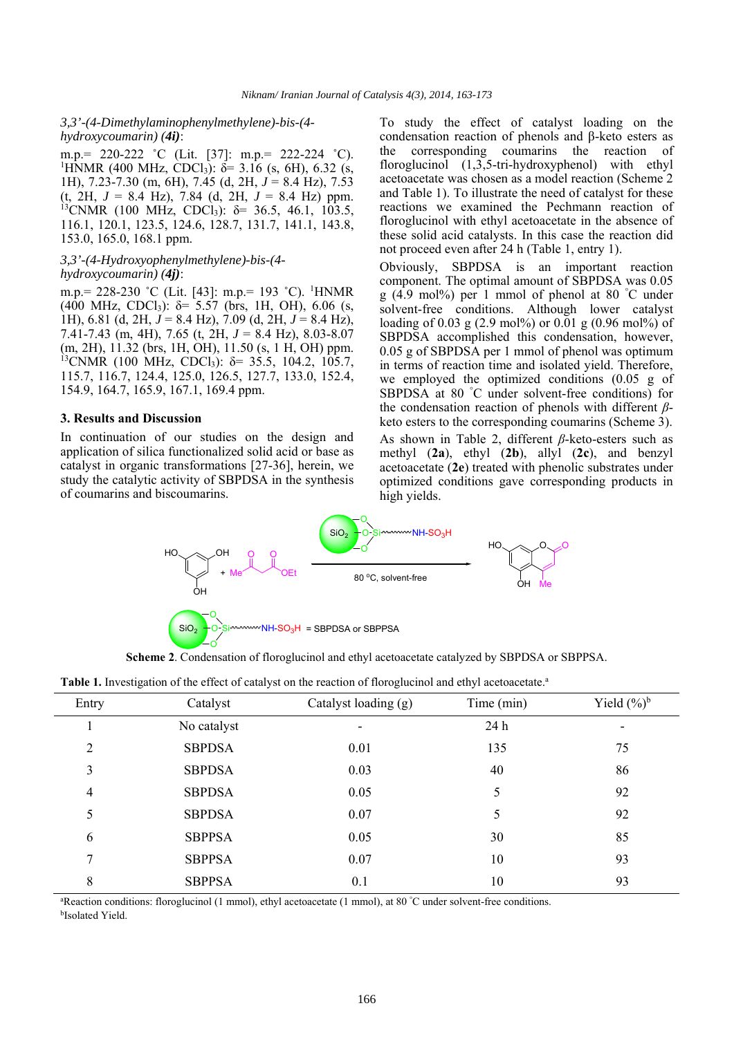#### *3,3'-(4-Dimethylaminophenylmethylene)-bis-(4 hydroxycoumarin) (4i)*:

m.p.= 220-222 ˚C (Lit. [37]: m.p.= 222-224 ˚C). <sup>1</sup>HNMR (400 MHz, CDCl<sub>3</sub>):  $\delta$ = 3.16 (s, 6H), 6.32 (s, 1H), 7.23-7.30 (m, 6H), 7.45 (d, 2H, *J* = 8.4 Hz), 7.53  $(t, 2H, J = 8.4 \text{ Hz})$ , 7.84  $(d, 2H, J = 8.4 \text{ Hz})$  ppm. <sup>13</sup>CNMR (100 MHz, CDCl<sub>3</sub>): δ= 36.5, 46.1, 103.5, 116.1, 120.1, 123.5, 124.6, 128.7, 131.7, 141.1, 143.8, 153.0, 165.0, 168.1 ppm.

#### *3,3'-(4-Hydroxyophenylmethylene)-bis-(4 hydroxycoumarin) (4j)*:

m.p. = 228-230 °C (Lit. [43]: m.p. = 193 °C). <sup>1</sup>HNMR (400 MHz, CDCl<sub>3</sub>):  $\delta$ = 5.57 (brs, 1H, OH), 6.06 (s, 1H), 6.81 (d, 2H, *J* = 8.4 Hz), 7.09 (d, 2H, *J* = 8.4 Hz), 7.41-7.43 (m, 4H), 7.65 (t, 2H, *J* = 8.4 Hz), 8.03-8.07 (m, 2H), 11.32 (brs, 1H, OH), 11.50 (s, 1 H, OH) ppm. <sup>13</sup>CNMR (100 MHz, CDCl<sub>3</sub>): δ= 35.5, 104.2, 105.7, 115.7, 116.7, 124.4, 125.0, 126.5, 127.7, 133.0, 152.4, 154.9, 164.7, 165.9, 167.1, 169.4 ppm.

#### **3. Results and Discussion**

In continuation of our studies on the design and application of silica functionalized solid acid or base as catalyst in organic transformations [27-36], herein, we study the catalytic activity of SBPDSA in the synthesis of coumarins and biscoumarins.

To study the effect of catalyst loading on the condensation reaction of phenols and β-keto esters as the corresponding coumarins the reaction of floroglucinol (1,3,5-tri-hydroxyphenol) with ethyl acetoacetate was chosen as a model reaction (Scheme 2 and Table 1). To illustrate the need of catalyst for these reactions we examined the Pechmann reaction of floroglucinol with ethyl acetoacetate in the absence of these solid acid catalysts. In this case the reaction did not proceed even after 24 h (Table 1, entry 1).

Obviously, SBPDSA is an important reaction component. The optimal amount of SBPDSA was 0.05 g (4.9 mol%) per 1 mmol of phenol at 80 ° C under solvent-free conditions. Although lower catalyst loading of 0.03 g (2.9 mol%) or 0.01 g (0.96 mol%) of SBPDSA accomplished this condensation, however, 0.05 g of SBPDSA per 1 mmol of phenol was optimum in terms of reaction time and isolated yield. Therefore, we employed the optimized conditions (0.05 g of SBPDSA at 80 ° C under solvent-free conditions) for the condensation reaction of phenols with different *β*keto esters to the corresponding coumarins (Scheme 3).

As shown in Table 2, different *β*-keto-esters such as methyl (**2a**), ethyl (**2b**), allyl (**2c**), and benzyl acetoacetate (**2e**) treated with phenolic substrates under optimized conditions gave corresponding products in high yields.



**Scheme 2**. Condensation of floroglucinol and ethyl acetoacetate catalyzed by SBPDSA or SBPPSA.

| Entry          | Catalyst      | Catalyst loading (g)     | Time (min)      | Yield $(\frac{6}{6})^b$ |
|----------------|---------------|--------------------------|-----------------|-------------------------|
|                | No catalyst   | $\overline{\phantom{a}}$ | 24 <sub>h</sub> |                         |
| $\overline{2}$ | <b>SBPDSA</b> | 0.01                     | 135             | 75                      |
| 3              | <b>SBPDSA</b> | 0.03                     | 40              | 86                      |
| 4              | <b>SBPDSA</b> | 0.05                     | 5               | 92                      |
| 5              | <b>SBPDSA</b> | 0.07                     | 5               | 92                      |
| 6              | <b>SBPPSA</b> | 0.05                     | 30              | 85                      |
| 7              | <b>SBPPSA</b> | 0.07                     | 10              | 93                      |
| 8              | <b>SBPPSA</b> | 0.1                      | 10              | 93                      |
|                |               |                          |                 |                         |

**Table 1.** Investigation of the effect of catalyst on the reaction of floroglucinol and ethyl acetoacetate.<sup>a</sup>

<sup>a</sup>Reaction conditions: floroglucinol (1 mmol), ethyl acetoacetate (1 mmol), at 80 °C under solvent-free conditions.<br><sup>bIsolated</sup> Vield bIsolated Yield.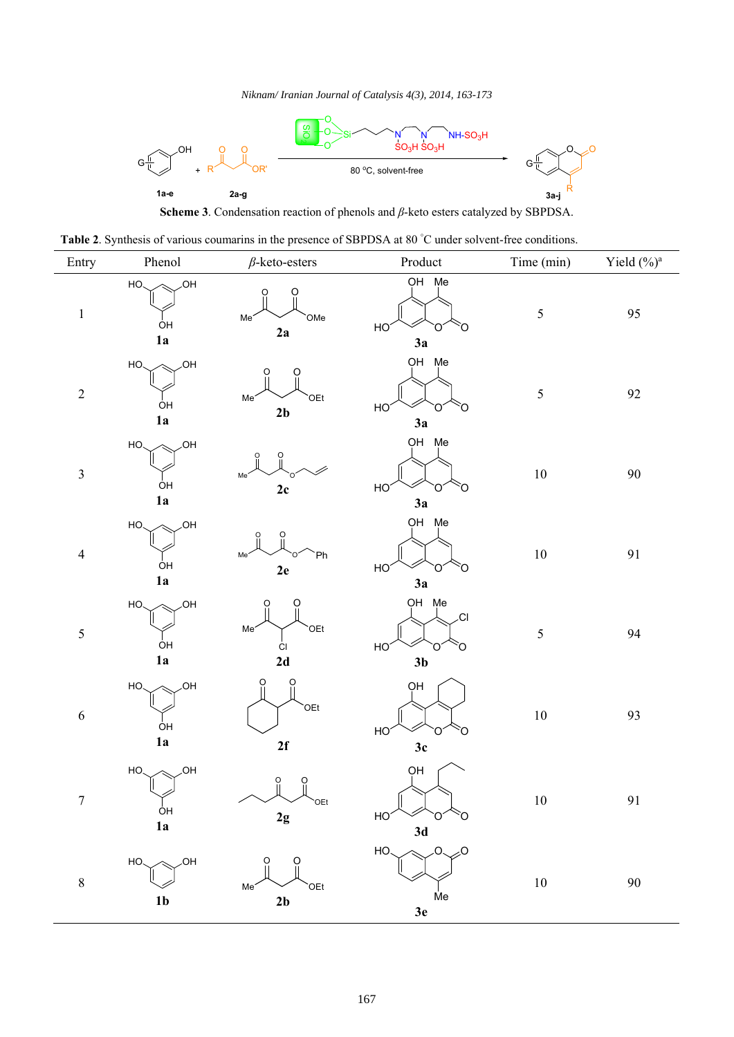

Table 2. Synthesis of various coumarins in the presence of SBPDSA at 80 °C under solvent-free conditions.

| Entry            | Phenol                               | $\beta$ -keto-esters                                      | Product                                                     | Time (min) | Yield (%) <sup>a</sup> |
|------------------|--------------------------------------|-----------------------------------------------------------|-------------------------------------------------------------|------------|------------------------|
| $\,1\,$          | ,OH<br>HO.<br>ÒН<br>1a               | Me <sup>®</sup><br>OMe<br>2a                              | OH Me<br>HO <sup>®</sup><br>Ο<br>Ő<br>3a                    | $\sqrt{5}$ | 95                     |
| $\sqrt{2}$       | <b>OH</b><br>HO<br>ÒΗ<br>1a          | O<br>Me <sup>-</sup><br>OEt <sup>-</sup><br>$2\mathbf{b}$ | OH Me<br>HO<br>Ő<br>∩<br>3a                                 | $\sqrt{5}$ | 92                     |
| $\mathfrak{Z}$   | <b>JOH</b><br>HO.<br>ÒΗ<br>1a        | Me <sup>-</sup><br>$2\mathrm{c}$                          | OH Me<br>HO<br>O<br>Ő<br>3a                                 | $10\,$     | $90\,$                 |
| $\overline{4}$   | ,OH<br>HO.<br>ÓΗ<br>1a               | Ph<br>Me <sup>'</sup><br>2e                               | OH Me<br>HO <sup>®</sup><br>O<br>3a                         | $10\,$     | 91                     |
| $\sqrt{5}$       | <b>OH</b><br>HO.<br>ÒΗ<br>1a         | $\Omega$<br>O<br>Me'<br>OEt <sup>-</sup><br>CI<br>2d      | OH Me<br>.CI<br>HO <sup>®</sup><br>O<br>∩<br>3 <sub>b</sub> | $\sqrt{5}$ | 94                     |
| $\boldsymbol{6}$ | <b>OH</b><br>HO<br>ÒΗ<br>1a          | O<br>O<br>OEt<br>2f                                       | OH<br>HO <sup>®</sup><br>Ö<br>O<br>3c                       | $10\,$     | 93                     |
| $\tau$           | ,OH<br>HO.<br>O <sub>H</sub><br>1a   | O<br>O<br>OEt<br>2g                                       | OH<br>$\circ$<br>HO <sub>2</sub><br>Ó<br>3d                 | 10         | 91                     |
| $\,8\,$          | $\sqrt{OH}$<br>HO.<br>1 <sub>b</sub> | Me <sup>®</sup><br>OEt<br>2 <sub>b</sub>                  | $\sim$<br>HO.<br>O<br>Me<br>3e                              | $10\,$     | 90                     |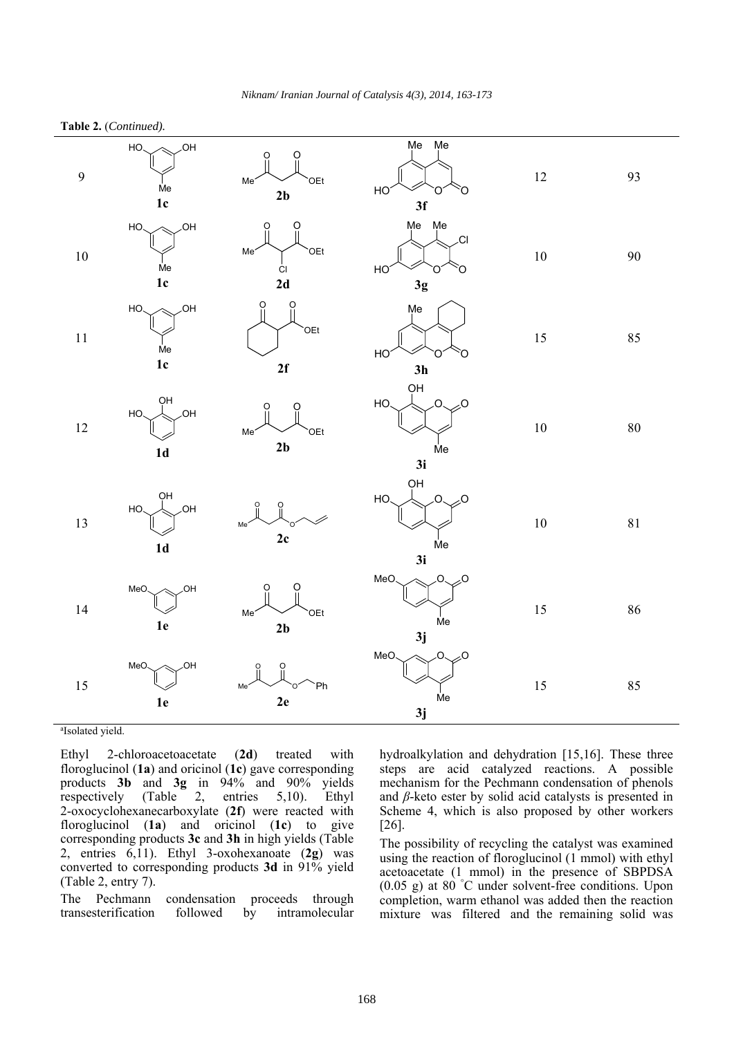| $\overline{9}$ | .OH<br>HO.<br>Me<br>$1c$  | O<br>O<br>Me <sup>-</sup><br>OEt <sup></sup><br>2b   | Me<br>Mе<br>HO<br>∩<br>O<br>3f                           | $12\,$ | 93          |
|----------------|---------------------------|------------------------------------------------------|----------------------------------------------------------|--------|-------------|
| $10\,$         | .OH<br>HO.<br>Me<br>$1c$  | Ο<br>റ<br>Me <sup>-</sup><br>OEt<br>ĊI<br>2d         | Me Me<br>.CI<br>HO<br>O<br>∩<br>3g                       | $10\,$ | 90          |
| $1\,1$         | .OH<br>HO<br>Me<br>$1c$   | O<br>O<br>OEt <sup></sup><br>2f                      | Me<br>HO<br>O<br>n<br>3h                                 | $15\,$ | 85          |
| $12\,$         | QН<br>.OH<br>HO.<br>$1d$  | Me <sup>-</sup><br>OEt <sup></sup><br>2 <sub>b</sub> | QH<br>Ō.<br>HO<br>Ő.<br>Мe<br>3i                         | $10\,$ | $80\,$      |
| $13\,$         | QН<br>,OH<br>HO.<br>$1d$  | $\overline{0}$<br>О<br>Me <sup>2</sup><br>2c         | QH<br>$\overline{O}$<br>HO<br>$\overline{O}$<br>Мe<br>3i | $10\,$ | $8\sqrt{1}$ |
| $14\,$         | ,OH<br>MeO.<br>$1e$       | Me <sup>2</sup><br>OEt<br>2 <sub>b</sub>             | MeO.<br>O.<br>O<br>Me<br>3j                              | 15     | 86          |
| 15             | <b>OH</b><br>MeO.<br>$1e$ | Ph<br>Me<br>2e                                       | MeO<br>O.<br>O<br>Me<br>3j                               | 15     | 85          |

#### **Table 2.** (*Continued).*

a Isolated yield.

Ethyl 2-chloroacetoacetate (**2d**) treated with floroglucinol (**1a**) and oricinol (**1c**) gave corresponding products **3b** and **3g** in 94% and 90% yields respectively (Table 2, entries 5,10). Ethyl 2-oxocyclohexanecarboxylate (**2f**) were reacted with floroglucinol (**1a**) and oricinol (**1c**) to give corresponding products **3c** and **3h** in high yields (Table 2, entries 6,11). Ethyl 3-oxohexanoate (**2g**) was converted to corresponding products **3d** in 91% yield (Table 2, entry 7).

The Pechmann condensation proceeds through transesterification followed by intramolecular hydroalkylation and dehydration [15,16]. These three steps are acid catalyzed reactions. A possible mechanism for the Pechmann condensation of phenols and  $\beta$ -keto ester by solid acid catalysts is presented in Scheme 4, which is also proposed by other workers [26].

The possibility of recycling the catalyst was examined using the reaction of floroglucinol (1 mmol) with ethyl acetoacetate (1 mmol) in the presence of SBPDSA (0.05 g) at 80 ° C under solvent-free conditions. Upon completion, warm ethanol was added then the reaction mixture was filtered and the remaining solid was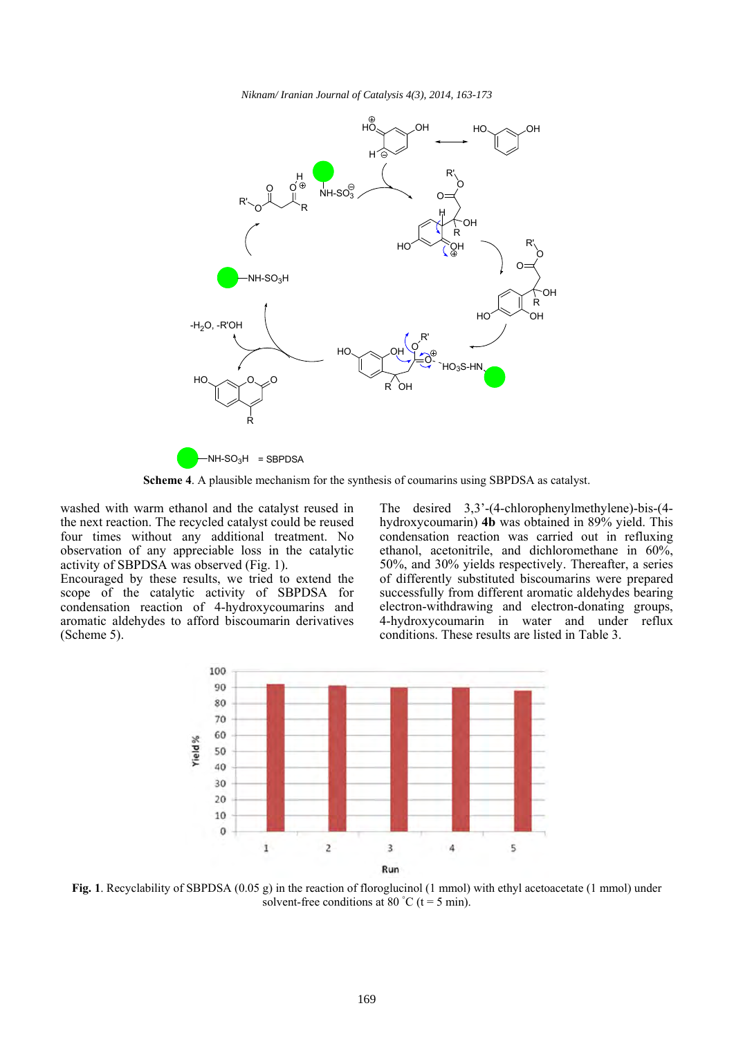

**Scheme 4**. A plausible mechanism for the synthesis of coumarins using SBPDSA as catalyst.

washed with warm ethanol and the catalyst reused in the next reaction. The recycled catalyst could be reused four times without any additional treatment. No observation of any appreciable loss in the catalytic activity of SBPDSA was observed (Fig. 1).

Encouraged by these results, we tried to extend the scope of the catalytic activity of SBPDSA for condensation reaction of 4-hydroxycoumarins and aromatic aldehydes to afford biscoumarin derivatives (Scheme 5).

The desired 3,3'-(4-chlorophenylmethylene)-bis-(4 hydroxycoumarin) **4b** was obtained in 89% yield. This condensation reaction was carried out in refluxing ethanol, acetonitrile, and dichloromethane in 60%, 50%, and 30% yields respectively. Thereafter, a series of differently substituted biscoumarins were prepared successfully from different aromatic aldehydes bearing electron-withdrawing and electron-donating groups, 4-hydroxycoumarin in water and under reflux conditions. These results are listed in Table 3.



**Fig. 1**. Recyclability of SBPDSA (0.05 g) in the reaction of floroglucinol (1 mmol) with ethyl acetoacetate (1 mmol) under solvent-free conditions at 80  $^{\circ}$ C (t = 5 min).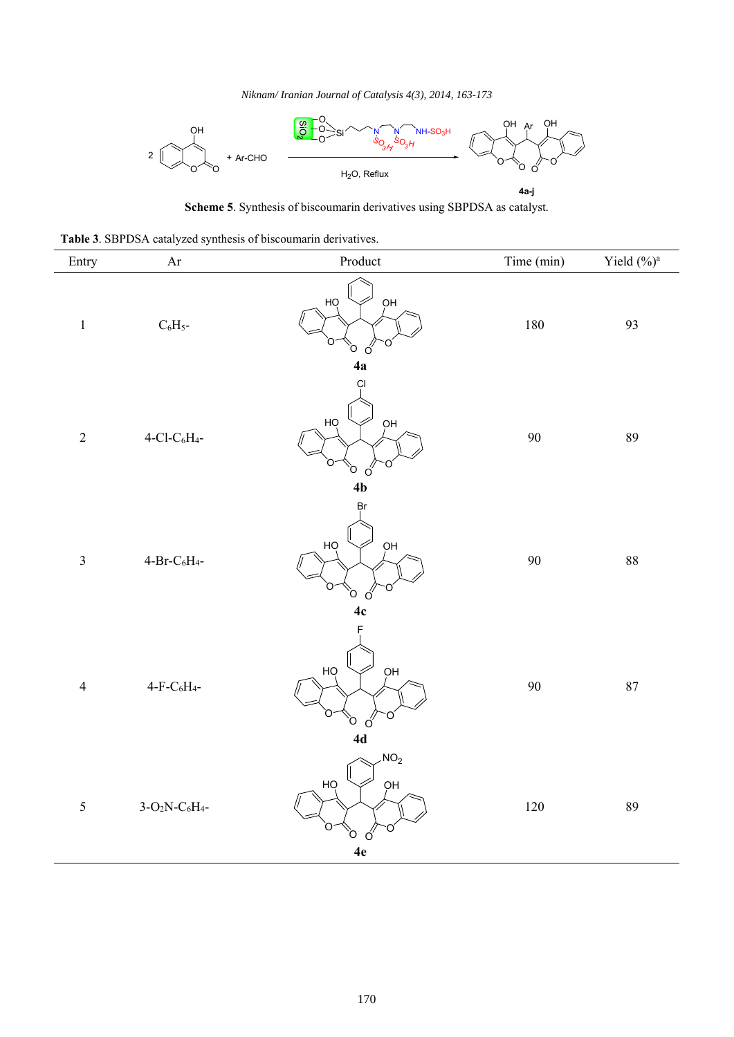

**Scheme 5**. Synthesis of biscoumarin derivatives using SBPDSA as catalyst.

|  |  | Table 3. SBPDSA catalyzed synthesis of biscoumarin derivatives. |
|--|--|-----------------------------------------------------------------|
|  |  |                                                                 |

| Entry          | Ar                                                             | Product                                          | Time (min) | Yield (%) <sup>a</sup> |
|----------------|----------------------------------------------------------------|--------------------------------------------------|------------|------------------------|
| $\,1$          | $\rm{C_6H_5}$ -                                                | HỌ<br>ОH<br>ი<br>Ö<br>Ő<br>4a                    | $180\,$    | 93                     |
| $\sqrt{2}$     | $4\mbox{-}\mathrm{Cl}\mbox{-}\mathrm{C}_6\mathrm{H}_4\mbox{-}$ | Çl<br>ОH<br>HQ<br>n<br>Ö<br>ó<br>4 <sub>b</sub>  | 90         | 89                     |
| $\mathfrak{Z}$ | $\mbox{4-Br-C}_6\mbox{H}_4\mbox{-}$                            | Ŗг<br>HQ<br>OH<br>O<br>ő<br>4c                   | $90\,$     | $88\,$                 |
| $\overline{4}$ | $4-F-C6H4$ -                                                   | F<br>HỌ<br>pн<br>O<br>Ò<br>$\acute{o}$<br>4d     | 90         | $\bf 87$               |
| $\sqrt{5}$     | $3-O_2N-C_6H_4$ -                                              | NO <sub>2</sub><br>HỌ<br>ОH<br>Ω<br>Ö<br>Ő<br>4e | $120\,$    | 89                     |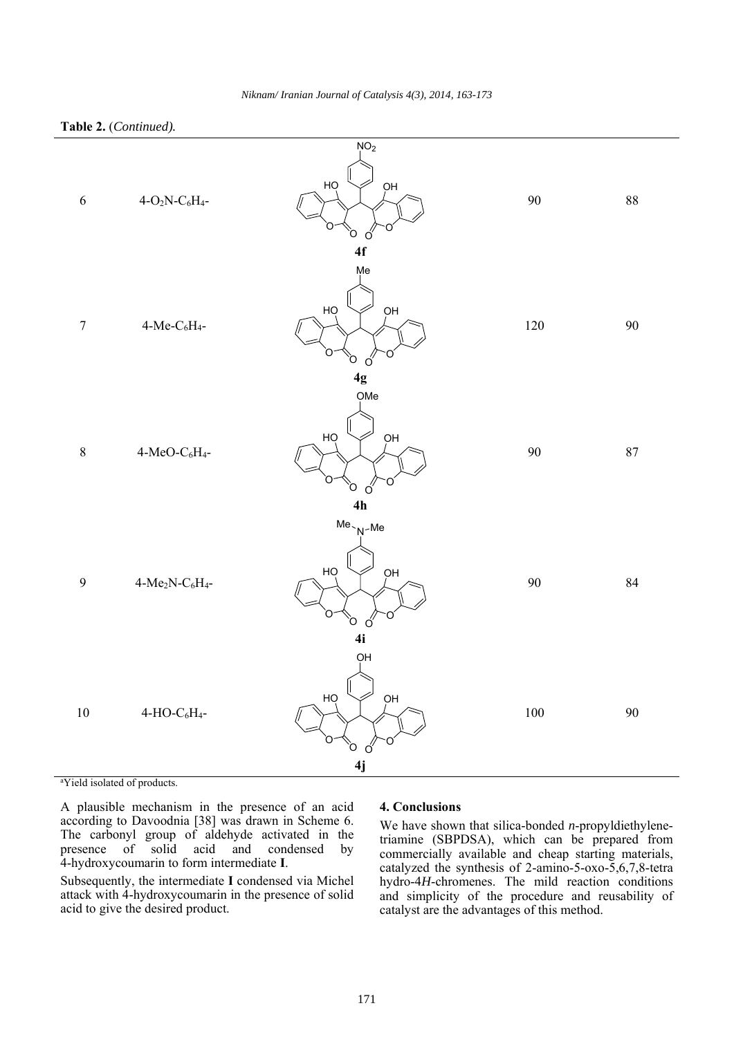

a Yield isolated of products.

A plausible mechanism in the presence of an acid according to Davoodnia [38] was drawn in Scheme 6. The carbonyl group of aldehyde activated in the presence of solid acid and condensed by 4-hydroxycoumarin to form intermediate **I**.

Subsequently, the intermediate **I** condensed via Michel attack with 4-hydroxycoumarin in the presence of solid acid to give the desired product.

#### **4. Conclusions**

We have shown that silica-bonded *n*-propyldiethylenetriamine (SBPDSA), which can be prepared from commercially available and cheap starting materials, catalyzed the synthesis of 2-amino-5-oxo-5,6,7,8-tetra hydro-4*H*-chromenes. The mild reaction conditions and simplicity of the procedure and reusability of catalyst are the advantages of this method.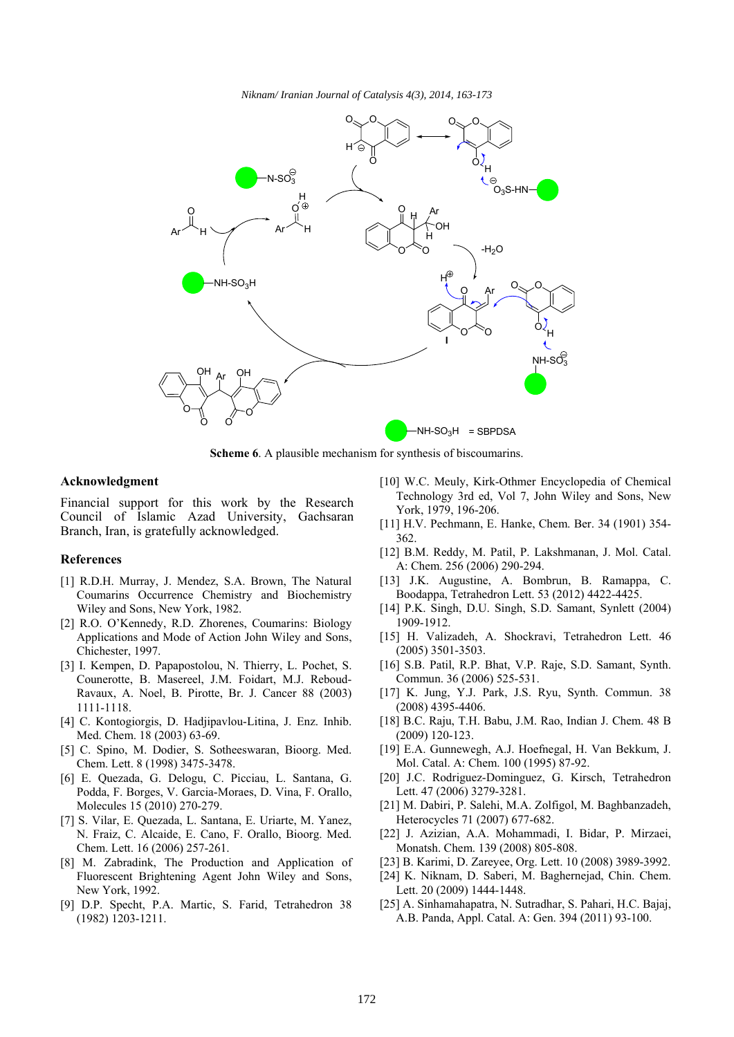

**Scheme 6.** A plausible mechanism for synthesis of biscoumarins.

#### **Acknowledgment**

Financial support for this work by the Research Council of Islamic Azad University, Gachsaran Branch, Iran, is gratefully acknowledged.

#### **References**

- [1] R.D.H. Murray, J. Mendez, S.A. Brown, The Natural Coumarins Occurrence Chemistry and Biochemistry Wiley and Sons, New York, 1982.
- [2] R.O. O'Kennedy, R.D. Zhorenes, Coumarins: Biology Applications and Mode of Action John Wiley and Sons, Chichester, 1997.
- [3] I. Kempen, D. Papapostolou, N. Thierry, L. Pochet, S. Counerotte, B. Masereel, J.M. Foidart, M.J. Reboud-Ravaux, A. Noel, B. Pirotte, Br. J. Cancer 88 (2003) 1111-1118.
- [4] C. Kontogiorgis, D. Hadjipavlou-Litina, J. Enz. Inhib. Med. Chem. 18 (2003) 63-69.
- [5] C. Spino, M. Dodier, S. Sotheeswaran, Bioorg. Med. Chem. Lett. 8 (1998) 3475-3478.
- [6] E. Quezada, G. Delogu, C. Picciau, L. Santana, G. Podda, F. Borges, V. Garcia-Moraes, D. Vina, F. Orallo, Molecules 15 (2010) 270-279.
- [7] S. Vilar, E. Quezada, L. Santana, E. Uriarte, M. Yanez, N. Fraiz, C. Alcaide, E. Cano, F. Orallo, Bioorg. Med. Chem. Lett. 16 (2006) 257-261.
- [8] M. Zabradink, The Production and Application of Fluorescent Brightening Agent John Wiley and Sons, New York, 1992.
- [9] D.P. Specht, P.A. Martic, S. Farid, Tetrahedron 38 (1982) 1203-1211.
- [10] W.C. Meuly, Kirk-Othmer Encyclopedia of Chemical Technology 3rd ed, Vol 7, John Wiley and Sons, New York, 1979, 196-206.
- [11] H.V. Pechmann, E. Hanke, Chem. Ber. 34 (1901) 354- 362.
- [12] B.M. Reddy, M. Patil, P. Lakshmanan, J. Mol. Catal. A: Chem. 256 (2006) 290-294.
- [13] J.K. Augustine, A. Bombrun, B. Ramappa, C. Boodappa, Tetrahedron Lett. 53 (2012) 4422-4425.
- [14] P.K. Singh, D.U. Singh, S.D. Samant, Synlett (2004) 1909-1912.
- [15] H. Valizadeh, A. Shockravi, Tetrahedron Lett. 46 (2005) 3501-3503.
- [16] S.B. Patil, R.P. Bhat, V.P. Raje, S.D. Samant, Synth. Commun. 36 (2006) 525-531.
- [17] K. Jung, Y.J. Park, J.S. Ryu, Synth. Commun. 38 (2008) 4395-4406.
- [18] B.C. Raju, T.H. Babu, J.M. Rao, Indian J. Chem. 48 B (2009) 120-123.
- [19] E.A. Gunnewegh, A.J. Hoefnegal, H. Van Bekkum, J. Mol. Catal. A: Chem. 100 (1995) 87-92.
- [20] J.C. Rodriguez-Dominguez, G. Kirsch, Tetrahedron Lett. 47 (2006) 3279-3281.
- [21] M. Dabiri, P. Salehi, M.A. Zolfigol, M. Baghbanzadeh, Heterocycles 71 (2007) 677-682.
- [22] J. Azizian, A.A. Mohammadi, I. Bidar, P. Mirzaei, Monatsh. Chem. 139 (2008) 805-808.
- [23] B. Karimi, D. Zareyee, Org. Lett. 10 (2008) 3989-3992.
- [24] K. Niknam, D. Saberi, M. Baghernejad, Chin. Chem. Lett. 20 (2009) 1444-1448.
- [25] A. Sinhamahapatra, N. Sutradhar, S. Pahari, H.C. Bajaj, A.B. Panda, Appl. Catal. A: Gen. 394 (2011) 93-100.